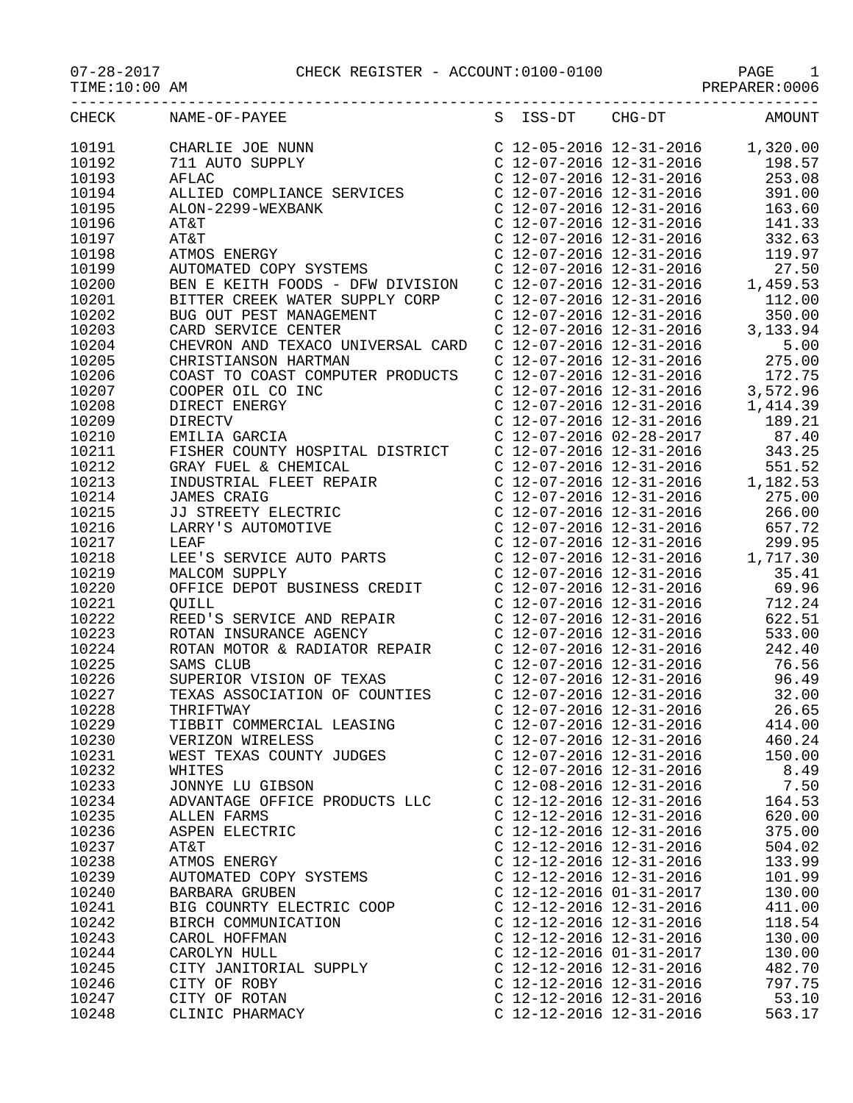$TIME:10:00 AM$ 

## 07-28-2017 CHECK REGISTER - ACCOUNT:0100-0100 PAGE 1

| CHECK          | NAME-OF-PAYEE                                                                                                                                         |                                                      |                                                                               | S ISS-DT CHG-DT AMOUNT             |
|----------------|-------------------------------------------------------------------------------------------------------------------------------------------------------|------------------------------------------------------|-------------------------------------------------------------------------------|------------------------------------|
| 10191          | CHARLIE JOE NUNN                                                                                                                                      |                                                      |                                                                               | $C$ 12-05-2016 12-31-2016 1,320.00 |
| 10192          | 711 AUTO SUPPLY                                                                                                                                       |                                                      | C 12-07-2016 12-31-2016                                                       | 198.57                             |
| 10193          | AFLAC                                                                                                                                                 |                                                      | $C$ 12-07-2016 12-31-2016                                                     | 253.08                             |
| 10194          | ALLIED COMPLIANCE SERVICES                                                                                                                            |                                                      | $C$ 12-07-2016 12-31-2016                                                     | 391.00                             |
| 10195          | ALON-2299-WEXBANK                                                                                                                                     |                                                      | C 12-07-2016 12-31-2016                                                       | 163.60                             |
| 10196          | AT&T                                                                                                                                                  |                                                      | $C$ 12-07-2016 12-31-2016                                                     | 141.33                             |
| 10197          | AT&T                                                                                                                                                  |                                                      | $C$ 12-07-2016 12-31-2016                                                     | 332.63                             |
| 10198          | ATMOS ENERGY                                                                                                                                          |                                                      | C 12-07-2016 12-31-2016                                                       | 119.97                             |
| 10199          | AUTOMATED COPY SYSTEMS                                                                                                                                | $C$ 12-07-2016 12-31-2016                            |                                                                               | 27.50                              |
| 10200          | AUTOMATED COPY SYSTEMS<br>BEN E KEITH FOODS - DFW DIVISION     C 12-07-2016 12-31-2016<br>BITTER CREEK WATER SUPPLY CORP      C 12-07-2016 12-31-2016 |                                                      |                                                                               | 1,459.53                           |
| 10201          | BITTER CREEK WATER SUPPLY CORP C 12-07-2016 12-31-2016                                                                                                |                                                      |                                                                               | 112.00                             |
| 10202          | BUG OUT PEST MANAGEMENT                                                                                                                               |                                                      | $C$ 12-07-2016 12-31-2016                                                     | 350.00                             |
| 10203          | CARD SERVICE CENTER                                                                                                                                   |                                                      | $C$ 12-07-2016 12-31-2016                                                     | 3,133.94                           |
| 10204          | CHEVRON AND TEXACO UNIVERSAL CARD                                                                                                                     | $C$ 12-07-2016 12-31-2016                            |                                                                               | 5.00                               |
| 10205          | CHRISTIANSON HARTMAN                                                                                                                                  |                                                      | $C$ 12-07-2016 12-31-2016                                                     | 275.00                             |
| 10206          | COAST TO COAST COMPUTER PRODUCTS                                                                                                                      |                                                      | $C$ 12-07-2016 12-31-2016                                                     | 172.75                             |
| 10207          | COOPER OIL CO INC                                                                                                                                     |                                                      | $C$ 12-07-2016 12-31-2016                                                     | 3,572.96                           |
| 10208          | DIRECT ENERGY                                                                                                                                         |                                                      | $C$ 12-07-2016 12-31-2016                                                     | 1,414.39                           |
| 10209          | DIRECTV                                                                                                                                               |                                                      | $C$ 12-07-2016 12-31-2016                                                     | 189.21                             |
| 10210          | EMILIA GARCIA                                                                                                                                         |                                                      | $C$ 12-07-2016 02-28-2017                                                     | 87.40                              |
| 10211          | FISHER COUNTY HOSPITAL DISTRICT                                                                                                                       | $C$ 12-07-2016 12-31-2016                            |                                                                               | 343.25                             |
| 10212          |                                                                                                                                                       |                                                      | $C$ 12-07-2016 12-31-2016                                                     | 551.52                             |
| 10213          |                                                                                                                                                       |                                                      | $C$ 12-07-2016 12-31-2016                                                     | 1,182.53                           |
| 10214          |                                                                                                                                                       |                                                      | $C$ 12-07-2016 12-31-2016                                                     | 275.00                             |
| 10215          |                                                                                                                                                       |                                                      | $C$ 12-07-2016 12-31-2016                                                     | 266.00                             |
| 10216          | GRAY FUEL & CHEMICAL<br>INDUSTRIAL FLEET REPAIR<br>JAMES CRAIG<br>JJ STREETY ELECTRIC<br>LARRY'S AUTOMOTIVE                                           |                                                      | $C$ 12-07-2016 12-31-2016                                                     | 657.72                             |
| 10217          | LEAF                                                                                                                                                  |                                                      | C 12-07-2016 12-31-2016<br>C 12-07-2016 12-31-2016<br>C 12-07-2016 12-31-2016 | 299.95                             |
| 10218          | LEE'S SERVICE AUTO PARTS                                                                                                                              |                                                      |                                                                               | 1,717.30                           |
| 10219          | MALCOM SUPPLY                                                                                                                                         |                                                      | C 12-07-2016 12-31-2016                                                       | 35.41                              |
| 10220          | OFFICE DEPOT BUSINESS CREDIT                                                                                                                          | $C$ 12-07-2016 12-31-2016                            |                                                                               | 69.96                              |
| 10221          | OUILL                                                                                                                                                 | $C$ 12-07-2016 12-31-2016                            |                                                                               | 712.24                             |
| 10222          | REED'S SERVICE AND REPAIR                                                                                                                             | $C$ 12-07-2016 12-31-2016                            |                                                                               | 622.51                             |
| 10223          | ROTAN INSURANCE AGENCY                                                                                                                                |                                                      | $C$ 12-07-2016 12-31-2016                                                     | 533.00                             |
| 10224          | ROTAN MOTOR & RADIATOR REPAIR                                                                                                                         |                                                      | C 12-07-2016 12-31-2016                                                       | 242.40                             |
| 10225          | SAMS CLUB                                                                                                                                             |                                                      | $C$ 12-07-2016 12-31-2016                                                     | 76.56                              |
| 10226          | SUPERIOR VISION OF TEXAS                                                                                                                              | $C$ 12-07-2016 12-31-2016                            |                                                                               | 96.49                              |
| 10227          | TEXAS ASSOCIATION OF COUNTIES                                                                                                                         | $C$ 12-07-2016 12-31-2016                            |                                                                               | 32.00                              |
| 10228          | THRIFTWAY                                                                                                                                             | $C$ 12-07-2016 12-31-2016                            |                                                                               | 26.65                              |
| 10229          | TIBBIT COMMERCIAL LEASING                                                                                                                             | C 12-07-2016 12-31-2016                              |                                                                               | 414.00                             |
| 10230          | VERIZON WIRELESS                                                                                                                                      | $C$ 12-07-2016 12-31-2016                            |                                                                               | 460.24                             |
| 10231<br>10232 | WEST TEXAS COUNTY JUDGES                                                                                                                              | $C$ 12-07-2016 12-31-2016<br>C 12-07-2016 12-31-2016 |                                                                               | 150.00<br>8.49                     |
| 10233          | WHITES<br>JONNYE LU GIBSON                                                                                                                            | $C$ 12-08-2016 12-31-2016                            |                                                                               | 7.50                               |
| 10234          | ADVANTAGE OFFICE PRODUCTS LLC                                                                                                                         | C $12 - 12 - 2016$ $12 - 31 - 2016$                  |                                                                               | 164.53                             |
| 10235          | ALLEN FARMS                                                                                                                                           | $C$ 12-12-2016 12-31-2016                            |                                                                               | 620.00                             |
| 10236          | ASPEN ELECTRIC                                                                                                                                        | $C$ 12-12-2016 12-31-2016                            |                                                                               | 375.00                             |
| 10237          | AT&T                                                                                                                                                  | C 12-12-2016 12-31-2016                              |                                                                               | 504.02                             |
| 10238          | ATMOS ENERGY                                                                                                                                          | C $12 - 12 - 2016$ $12 - 31 - 2016$                  |                                                                               | 133.99                             |
| 10239          | AUTOMATED COPY SYSTEMS                                                                                                                                | C 12-12-2016 12-31-2016                              |                                                                               | 101.99                             |
| 10240          | BARBARA GRUBEN                                                                                                                                        | C 12-12-2016 01-31-2017                              |                                                                               | 130.00                             |
| 10241          | BIG COUNRTY ELECTRIC COOP                                                                                                                             | C 12-12-2016 12-31-2016                              |                                                                               | 411.00                             |
| 10242          | BIRCH COMMUNICATION                                                                                                                                   | $C$ 12-12-2016 12-31-2016                            |                                                                               | 118.54                             |
| 10243          | CAROL HOFFMAN                                                                                                                                         | C $12 - 12 - 2016$ $12 - 31 - 2016$                  |                                                                               | 130.00                             |
| 10244          | CAROLYN HULL                                                                                                                                          | $C$ 12-12-2016 01-31-2017                            |                                                                               | 130.00                             |
| 10245          | CITY JANITORIAL SUPPLY                                                                                                                                | C $12 - 12 - 2016$ $12 - 31 - 2016$                  |                                                                               | 482.70                             |
| 10246          | CITY OF ROBY                                                                                                                                          | $C$ 12-12-2016 12-31-2016                            |                                                                               | 797.75                             |
| 10247          | CITY OF ROTAN                                                                                                                                         | C 12-12-2016 12-31-2016                              |                                                                               | 53.10                              |
| 10248          | CLINIC PHARMACY                                                                                                                                       | C 12-12-2016 12-31-2016                              |                                                                               | 563.17                             |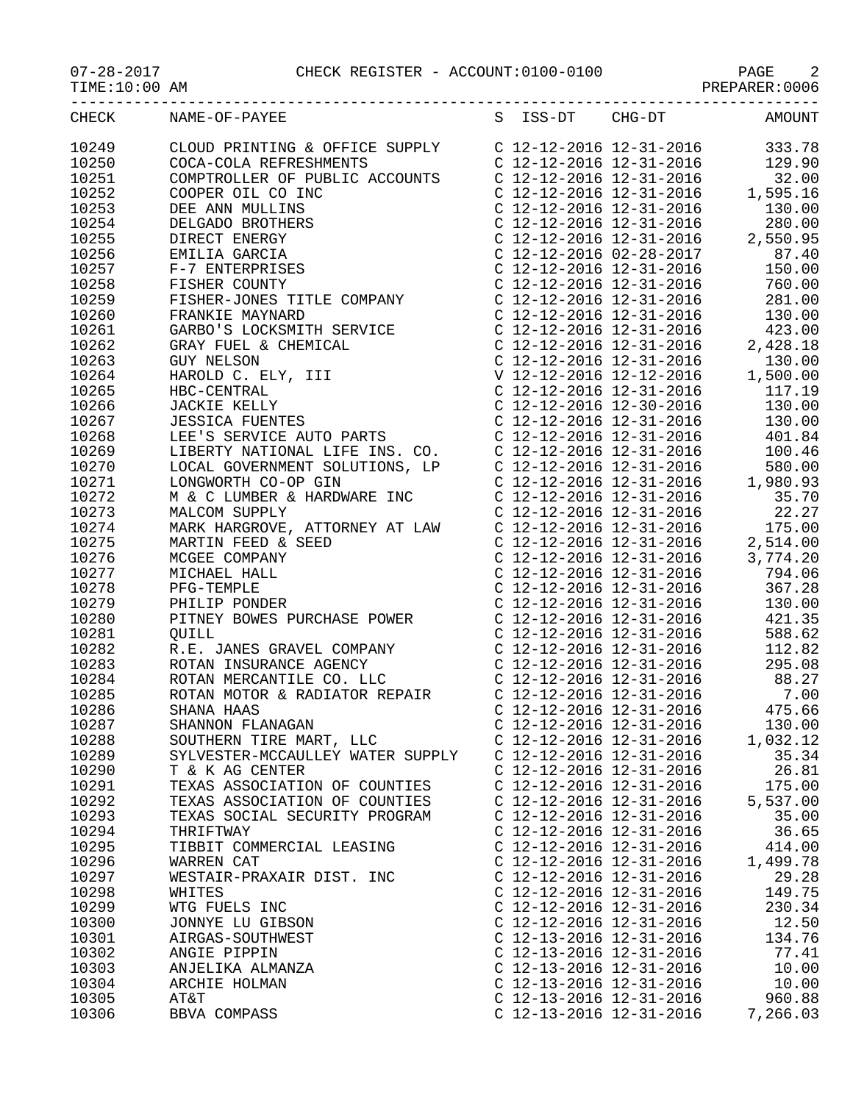07-28-2017 CHECK REGISTER - ACCOUNT:0100-0100 PAGE 2

| CHECK          | S ISS-DT CHG-DT AMOUNT<br>NAME-OF-PAYEE                     |                                                      |                   |
|----------------|-------------------------------------------------------------|------------------------------------------------------|-------------------|
| 10249          |                                                             |                                                      |                   |
| 10250          |                                                             |                                                      |                   |
| 10251          |                                                             |                                                      |                   |
| 10252          |                                                             |                                                      |                   |
| 10253          |                                                             |                                                      |                   |
| 10254          |                                                             |                                                      |                   |
| 10255          |                                                             |                                                      |                   |
| 10256          |                                                             |                                                      |                   |
| 10257          |                                                             |                                                      |                   |
| 10258          |                                                             |                                                      |                   |
| 10259          |                                                             |                                                      |                   |
| 10260          |                                                             |                                                      |                   |
| 10261          |                                                             |                                                      |                   |
| 10262          |                                                             |                                                      |                   |
| 10263          |                                                             |                                                      |                   |
| 10264          |                                                             |                                                      |                   |
| 10265          |                                                             |                                                      |                   |
| 10266          |                                                             |                                                      |                   |
| 10267          |                                                             |                                                      |                   |
| 10268          |                                                             |                                                      |                   |
| 10269          |                                                             |                                                      |                   |
| 10270          |                                                             |                                                      |                   |
| 10271          |                                                             |                                                      |                   |
| 10272          |                                                             |                                                      |                   |
| 10273          |                                                             |                                                      |                   |
| 10274          |                                                             |                                                      |                   |
| 10275          |                                                             |                                                      |                   |
| 10276          |                                                             |                                                      |                   |
| 10277          |                                                             |                                                      |                   |
| 10278          |                                                             |                                                      |                   |
| 10279          |                                                             |                                                      |                   |
| 10280          |                                                             |                                                      |                   |
| 10281          |                                                             |                                                      |                   |
| 10282          |                                                             |                                                      |                   |
| 10283          |                                                             |                                                      |                   |
| 10284          |                                                             |                                                      |                   |
| 10285<br>10286 |                                                             |                                                      |                   |
|                |                                                             |                                                      |                   |
| 10287          | SHANNON FLANAGAN                                            | $C$ 12-12-2016 12-31-2016                            | 130.00            |
| 10288<br>10289 | SOUTHERN TIRE MART, LLC<br>SYLVESTER-MCCAULLEY WATER SUPPLY | C 12-12-2016 12-31-2016<br>$C$ 12-12-2016 12-31-2016 | 1,032.12<br>35.34 |
| 10290          | T & K AG CENTER                                             | C $12 - 12 - 2016$ $12 - 31 - 2016$                  | 26.81             |
| 10291          | TEXAS ASSOCIATION OF COUNTIES                               | C $12 - 12 - 2016$ $12 - 31 - 2016$                  | 175.00            |
| 10292          | TEXAS ASSOCIATION OF COUNTIES                               | $C$ 12-12-2016 12-31-2016                            | 5,537.00          |
| 10293          | TEXAS SOCIAL SECURITY PROGRAM                               | C 12-12-2016 12-31-2016                              | 35.00             |
| 10294          | THRIFTWAY                                                   | $C$ 12-12-2016 12-31-2016                            | 36.65             |
| 10295          | TIBBIT COMMERCIAL LEASING                                   | C 12-12-2016 12-31-2016                              | 414.00            |
| 10296          | WARREN CAT                                                  | C 12-12-2016 12-31-2016                              | 1,499.78          |
| 10297          | WESTAIR-PRAXAIR DIST. INC                                   | $C$ 12-12-2016 12-31-2016                            | 29.28             |
| 10298          | WHITES                                                      | $C$ 12-12-2016 12-31-2016                            | 149.75            |
| 10299          | WTG FUELS INC                                               | C 12-12-2016 12-31-2016                              | 230.34            |
| 10300          | JONNYE LU GIBSON                                            | C 12-12-2016 12-31-2016                              | 12.50             |
| 10301          | AIRGAS-SOUTHWEST                                            | C 12-13-2016 12-31-2016                              | 134.76            |
| 10302          | ANGIE PIPPIN                                                | C $12 - 13 - 2016$ $12 - 31 - 2016$                  | 77.41             |
| 10303          | ANJELIKA ALMANZA                                            | C $12 - 13 - 2016$ $12 - 31 - 2016$                  | 10.00             |
| 10304          | ARCHIE HOLMAN                                               | C 12-13-2016 12-31-2016                              | 10.00             |
| 10305          | AT&T                                                        | C 12-13-2016 12-31-2016                              | 960.88            |
|                |                                                             |                                                      |                   |

10306 BBVA COMPASS C 12-13-2016 12-31-2016 7,266.03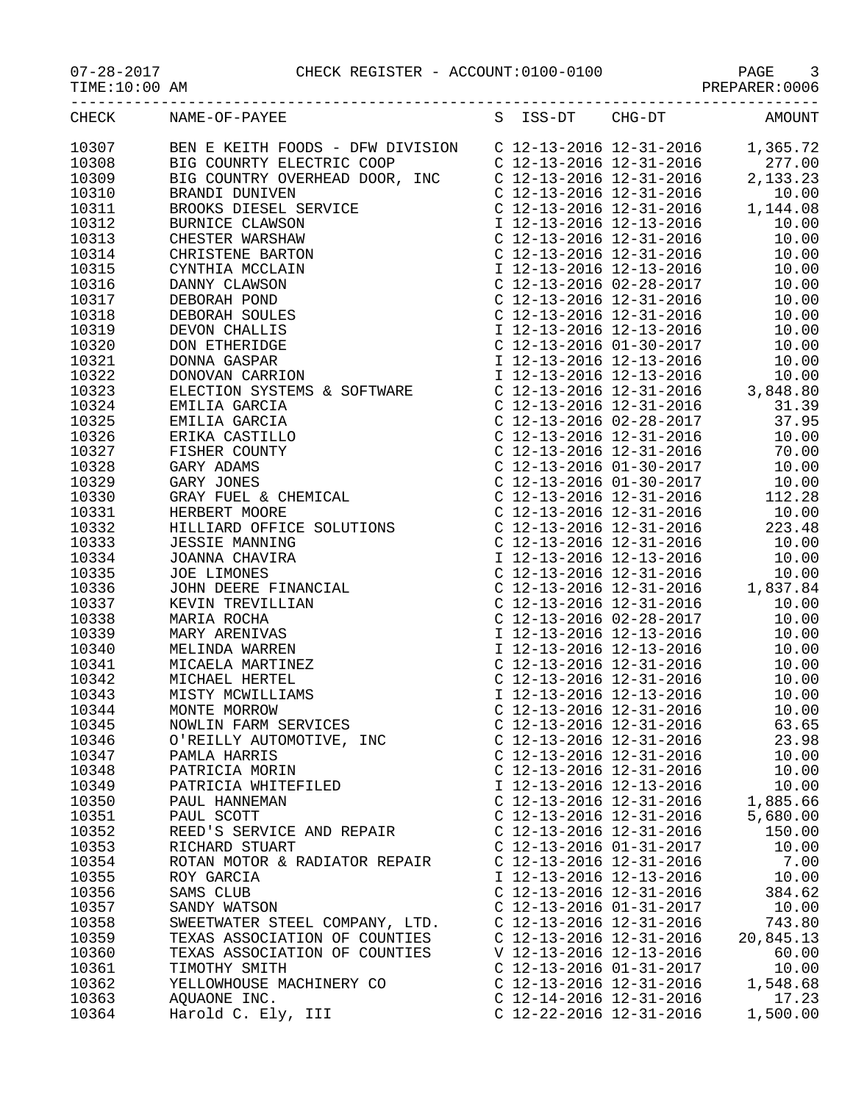CHECK REGISTER - ACCOUNT:0100-0100 PAGE 3

10329 GARY JONES C 12-13-2016 01-30-2017 10.00 10330 GRAY FUEL & CHEMICAL C 12-13-2016 12-31-2016 112.28 10331 HERBERT MOORE C 12-13-2016 12-31-2016 10.00 10332 HILLIARD OFFICE SOLUTIONS C 12-13-2016 12-31-2016 223.48 10333 JESSIE MANNING C 12-13-2016 12-31-2016 10.00 10334 JOANNA CHAVIRA I 12-13-2016 12-13-2016 10.00 10335 JOE LIMONES C 12-13-2016 12-31-2016 10.00 10336 JOHN DEERE FINANCIAL C 12-13-2016 12-31-2016 1,837.84 10337 KEVIN TREVILLIAN C 12-13-2016 12-31-2016 10.00 10338 MARIA ROCHA C 12-13-2016 02-28-2017 10.00 10339 MARY ARENIVAS I 12-13-2016 12-13-2016 10.00 10340 MELINDA WARREN I 12-13-2016 12-13-2016 10.00 10341 MICAELA MARTINEZ C 12-13-2016 12-31-2016 10.00 10342 MICHAEL HERTEL C 12-13-2016 12-31-2016 10.00 10343 MISTY MCWILLIAMS I 12-13-2016 12-13-2016 10.00 10344 MONTE MORROW C 12-13-2016 12-31-2016 10.00 10345 NOWLIN FARM SERVICES C 12-13-2016 12-31-2016 63.65 10346 O'REILLY AUTOMOTIVE, INC C 12-13-2016 12-31-2016 23.98 10347 PAMLA HARRIS C 12-13-2016 12-31-2016 10.00 10348 PATRICIA MORIN C 12-13-2016 12-31-2016 10.00 10349 PATRICIA WHITEFILED I 12-13-2016 12-13-2016 10.00 10350 PAUL HANNEMAN C 12-13-2016 12-31-2016 1,885.66 10351 PAUL SCOTT C 12-13-2016 12-31-2016 5,680.00 10352 REED'S SERVICE AND REPAIR C 12-13-2016 12-31-2016 150.00 10353 RICHARD STUART C 12-13-2016 01-31-2017 10.00 10354 ROTAN MOTOR & RADIATOR REPAIR C 12-13-2016 12-31-2016 7.00 10355 ROY GARCIA I 12-13-2016 12-13-2016 10.00 10356 SAMS CLUB C 12-13-2016 12-31-2016 384.62 10357 SANDY WATSON C 12-13-2016 01-31-2017 10.00 10358 SWEETWATER STEEL COMPANY, LTD. C 12-13-2016 12-31-2016 743.80 10359 TEXAS ASSOCIATION OF COUNTIES C 12-13-2016 12-31-2016 20,845.13 10360 TEXAS ASSOCIATION OF COUNTIES V 12-13-2016 12-13-2016 60.00 10361 TIMOTHY SMITH C 12-13-2016 01-31-2017 10.00 10362 YELLOWHOUSE MACHINERY CO C 12-13-2016 12-31-2016 1,548.68 10363 AQUAONE INC. C 12-14-2016 12-31-2016 17.23 10364 Harold C. Ely, III C 12-22-2016 12-31-2016 1,500.00

| $07 - 28 - 2017$ |
|------------------|
|------------------|

TIME:10:00 AM PREPARER:0006

| CHECK | NAME-OF-PAYEE                                                | S ISS-DT                  | CHG-DT                              | AMOUNT   |
|-------|--------------------------------------------------------------|---------------------------|-------------------------------------|----------|
| 10307 | BEN E KEITH FOODS - DFW DIVISION     C 12-13-2016 12-31-2016 |                           |                                     | 1,365.72 |
| 10308 | BIG COUNRTY ELECTRIC COOP                                    |                           | $C$ 12-13-2016 12-31-2016           | 277.00   |
| 10309 | BIG COUNTRY OVERHEAD DOOR, INC                               | $C$ 12-13-2016 12-31-2016 |                                     | 2,133.23 |
| 10310 | BRANDI DUNIVEN                                               |                           | C 12-13-2016 12-31-2016             | 10.00    |
| 10311 | BROOKS DIESEL SERVICE                                        |                           | C 12-13-2016 12-31-2016             | 1,144.08 |
| 10312 | BURNICE CLAWSON                                              |                           | I 12-13-2016 12-13-2016             | 10.00    |
| 10313 | CHESTER WARSHAW                                              |                           | C 12-13-2016 12-31-2016             | 10.00    |
| 10314 | CHRISTENE BARTON                                             |                           | C 12-13-2016 12-31-2016             | 10.00    |
| 10315 | CYNTHIA MCCLAIN                                              |                           | I 12-13-2016 12-13-2016             | 10.00    |
| 10316 | DANNY CLAWSON                                                |                           | C 12-13-2016 02-28-2017             | 10.00    |
| 10317 | DEBORAH POND                                                 |                           | C 12-13-2016 12-31-2016             | 10.00    |
| 10318 | DEBORAH SOULES                                               |                           | C 12-13-2016 12-31-2016             | 10.00    |
| 10319 | DEVON CHALLIS                                                |                           | I 12-13-2016 12-13-2016             | 10.00    |
| 10320 | DON ETHERIDGE                                                |                           | C $12 - 13 - 2016$ $01 - 30 - 2017$ | 10.00    |
| 10321 | DONNA GASPAR                                                 |                           | I 12-13-2016 12-13-2016             | 10.00    |
| 10322 | DONOVAN CARRION                                              |                           | I 12-13-2016 12-13-2016             | 10.00    |
| 10323 | ELECTION SYSTEMS & SOFTWARE                                  |                           | C $12 - 13 - 2016$ $12 - 31 - 2016$ | 3,848.80 |
| 10324 | EMILIA GARCIA                                                |                           | C 12-13-2016 12-31-2016             | 31.39    |
| 10325 | EMILIA GARCIA                                                |                           | C 12-13-2016 02-28-2017             | 37.95    |
| 10326 | ERIKA CASTILLO                                               |                           | C 12-13-2016 12-31-2016             | 10.00    |
| 10327 | FISHER COUNTY                                                |                           | C 12-13-2016 12-31-2016             | 70.00    |
| 10328 | GARY ADAMS                                                   | $C$ 12-13-2016 01-30-2017 |                                     | 10.00    |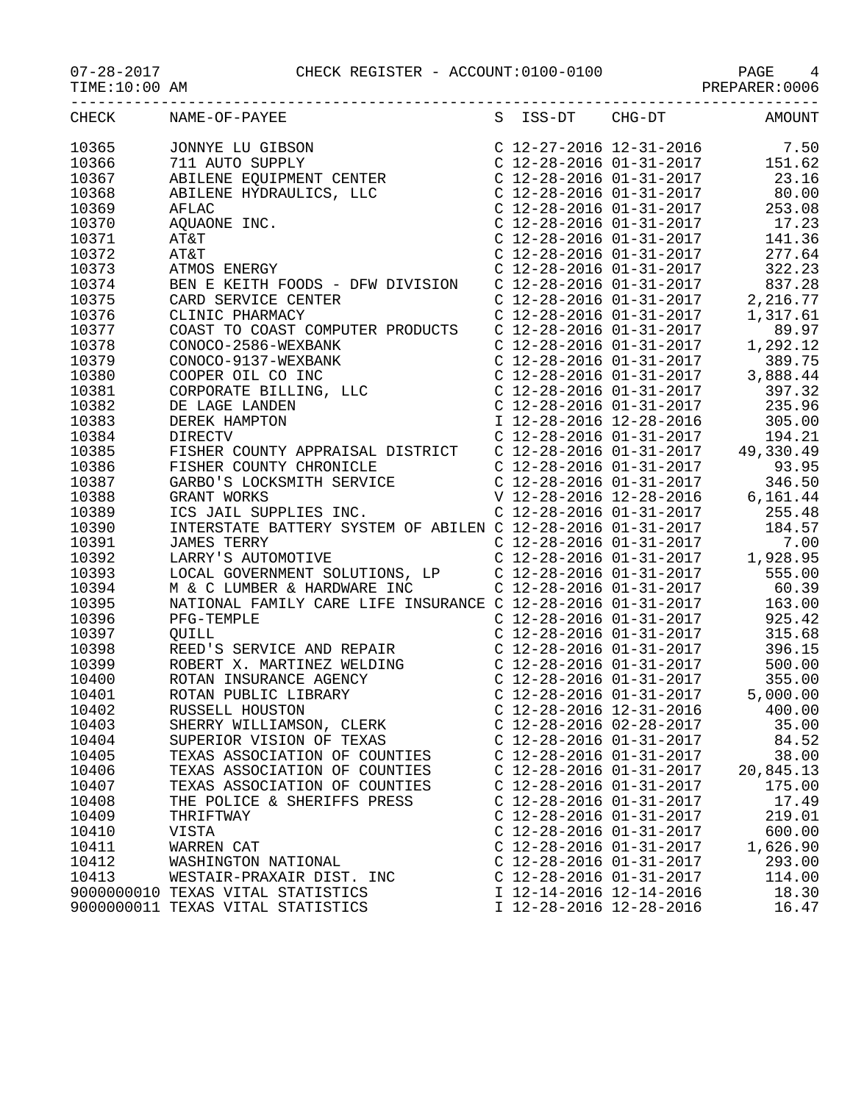## 07-28-2017 CHECK REGISTER - ACCOUNT:0100-0100 PAGE 4

PREPARER:0006

| CHECK          | NAME-OF-PAYEE                                                                                                                                                                                                                                      |                           |                                                                                                                                                                                                                                                                                                                                                                                               | S ISS-DT CHG-DT AMOUNT               |
|----------------|----------------------------------------------------------------------------------------------------------------------------------------------------------------------------------------------------------------------------------------------------|---------------------------|-----------------------------------------------------------------------------------------------------------------------------------------------------------------------------------------------------------------------------------------------------------------------------------------------------------------------------------------------------------------------------------------------|--------------------------------------|
| 10365          | 50 JONNYE LU GIBSON<br>7.50 C 12-27-2016 12-31-2016<br>7.50 C 12-28-2016 01-31-2017 151.62<br>ABILENE EQUIPMENT CENTER<br>C 12-28-2016 01-31-2017 23.16                                                                                            |                           |                                                                                                                                                                                                                                                                                                                                                                                               |                                      |
| 10366          |                                                                                                                                                                                                                                                    |                           |                                                                                                                                                                                                                                                                                                                                                                                               |                                      |
| 10367          |                                                                                                                                                                                                                                                    |                           |                                                                                                                                                                                                                                                                                                                                                                                               |                                      |
| 10368          |                                                                                                                                                                                                                                                    |                           |                                                                                                                                                                                                                                                                                                                                                                                               |                                      |
| 10369          |                                                                                                                                                                                                                                                    |                           |                                                                                                                                                                                                                                                                                                                                                                                               |                                      |
| 10370          |                                                                                                                                                                                                                                                    |                           |                                                                                                                                                                                                                                                                                                                                                                                               |                                      |
| 10371          |                                                                                                                                                                                                                                                    |                           |                                                                                                                                                                                                                                                                                                                                                                                               |                                      |
| 10372          | ABILENE HYDRAULICS, LLC<br>ABILENE HYDRAULICS, LLC<br>AFLAC<br>AQUAONE INC.<br>C 12-28-2016 01-31-2017<br>C 12-28-2016 01-31-2017<br>C 12-28-2016 01-31-2017<br>C 12-28-2016 01-31-2017<br>C 12-28-2016 01-31-2017<br>C 12-28-2016 01-31-2017<br>C |                           |                                                                                                                                                                                                                                                                                                                                                                                               |                                      |
| 10373          |                                                                                                                                                                                                                                                    |                           | $C$ 12-28-2016 01-31-2017                                                                                                                                                                                                                                                                                                                                                                     |                                      |
| 10374          | BEN E KEITH FOODS - DFW DIVISION C 12-28-2016 01-31-2017<br>CARD SERVICE CENTER CLINIC PHARMACY C 12-28-2016 01-31-2017 2,<br>COAST TO COAST COMPUTER PRODUCTS C 12-28-2016 01-31-2017 1,                                                          |                           |                                                                                                                                                                                                                                                                                                                                                                                               | 837.28                               |
| 10375          |                                                                                                                                                                                                                                                    |                           |                                                                                                                                                                                                                                                                                                                                                                                               | 2,216.77                             |
| 10376          |                                                                                                                                                                                                                                                    |                           |                                                                                                                                                                                                                                                                                                                                                                                               | 1,317.61                             |
| 10377          |                                                                                                                                                                                                                                                    |                           |                                                                                                                                                                                                                                                                                                                                                                                               | 89.97                                |
| 10378          |                                                                                                                                                                                                                                                    |                           | $C$ 12-28-2016 01-31-2017                                                                                                                                                                                                                                                                                                                                                                     | 1,292.12                             |
| 10379          |                                                                                                                                                                                                                                                    |                           |                                                                                                                                                                                                                                                                                                                                                                                               | 389.75                               |
| 10380          |                                                                                                                                                                                                                                                    |                           |                                                                                                                                                                                                                                                                                                                                                                                               | 3,888.44                             |
| 10381          | CONOCO-2586-WEXBANK<br>CONOCO-2586-WEXBANK<br>CONOCO-9137-WEXBANK<br>COOPER OIL CO INC<br>CORPORATE BILLING, LLC<br>DE LAGE LANDEN<br>DEREK HAMPTON                                                                                                |                           | $\begin{array}{llll} \texttt{C} & 12\texttt{-}28\texttt{-}2016 & 01\texttt{-}31\texttt{-}2017 \\ \texttt{C} & 12\texttt{-}28\texttt{-}2016 & 01\texttt{-}31\texttt{-}2017 \\ \texttt{C} & 12\texttt{-}28\texttt{-}2016 & 01\texttt{-}31\texttt{-}2017 \\ \texttt{C} & 12\texttt{-}28\texttt{-}2016 & 01\texttt{-}31\texttt{-}2017 \end{array} \qquad \begin{array}{ll} \texttt{3}\,, \texttt$ | 397.32                               |
| 10382          |                                                                                                                                                                                                                                                    |                           |                                                                                                                                                                                                                                                                                                                                                                                               | 235.96                               |
| 10383          |                                                                                                                                                                                                                                                    |                           | I 12-28-2016 12-28-2016                                                                                                                                                                                                                                                                                                                                                                       | 305.00                               |
| 10384          | DIRECTV                                                                                                                                                                                                                                            |                           | $C$ 12-28-2016 01-31-2017                                                                                                                                                                                                                                                                                                                                                                     | 194.21                               |
| 10385          |                                                                                                                                                                                                                                                    |                           |                                                                                                                                                                                                                                                                                                                                                                                               |                                      |
| 10386          |                                                                                                                                                                                                                                                    |                           |                                                                                                                                                                                                                                                                                                                                                                                               |                                      |
| 10387          |                                                                                                                                                                                                                                                    |                           |                                                                                                                                                                                                                                                                                                                                                                                               |                                      |
| 10388          |                                                                                                                                                                                                                                                    |                           |                                                                                                                                                                                                                                                                                                                                                                                               |                                      |
| 10389          | FISHER COUNTY APPRAISAL DISTRICT<br>FISHER COUNTY CHRONICLE<br>FISHER COUNTY CHRONICLE<br>C 12-28-2016 01-31-2017 49,330.49<br>C 12-28-2016 01-31-2017 346.50<br>GRANT WORKS V 12-28-2016 12-28-2016 6,161.44<br>ICS JAIL SUPPLIES INC. C          |                           |                                                                                                                                                                                                                                                                                                                                                                                               |                                      |
| 10390          | INTERSTATE BATTERY SYSTEM OF ABILEN C 12-28-2016 01-31-2017 184.57<br>JAMES TERRY C 12-28-2016 01-31-2017 7.00<br>LARRY'S AUTOMOTIVE C 12-28-2016 01-31-2017 1,928.95<br>LOCAL GOVERNMENT SOLUTIONS, LP C 12-28-2016 01-31-2017 555.               |                           |                                                                                                                                                                                                                                                                                                                                                                                               |                                      |
| 10391          |                                                                                                                                                                                                                                                    |                           |                                                                                                                                                                                                                                                                                                                                                                                               |                                      |
| 10392          |                                                                                                                                                                                                                                                    |                           |                                                                                                                                                                                                                                                                                                                                                                                               |                                      |
| 10393          |                                                                                                                                                                                                                                                    |                           |                                                                                                                                                                                                                                                                                                                                                                                               |                                      |
| 10394          |                                                                                                                                                                                                                                                    |                           |                                                                                                                                                                                                                                                                                                                                                                                               |                                      |
| 10395          | NATIONAL FAMILY CARE LIFE INSURANCE C 12-28-2016 01-31-2017 163.00                                                                                                                                                                                 |                           |                                                                                                                                                                                                                                                                                                                                                                                               |                                      |
| 10396          | PFG-TEMPLE                                                                                                                                                                                                                                         |                           | $C$ 12-28-2016 01-31-2017                                                                                                                                                                                                                                                                                                                                                                     | 925.42                               |
| 10397<br>10398 | OUILL<br>REED'S SERVICE AND REPAIR                                                                                                                                                                                                                 |                           | C 12-28-2016 01-31-2017<br>C 12-28-2016 01-31-2017                                                                                                                                                                                                                                                                                                                                            | 315.68                               |
| 10399          | ROBERT X. MARTINEZ WELDING<br>ROTAN INSURANCE AGENCY<br>ROTAN PUBLIC LIBRARY<br>RUSSELL HOUSTON<br>RUSSELL HOUSTON<br>C 12-28-2016 01-31-2017<br>C 12-28-2016 01-31-2017<br>C 12-28-2016 01-31-2017<br>C 12-28-2016 01-31-2017<br>C 12-28-2016 0   |                           |                                                                                                                                                                                                                                                                                                                                                                                               | 396.15                               |
| 10400          |                                                                                                                                                                                                                                                    |                           |                                                                                                                                                                                                                                                                                                                                                                                               | 500.00<br>355.00                     |
| 10401          |                                                                                                                                                                                                                                                    |                           |                                                                                                                                                                                                                                                                                                                                                                                               | C $12-28-2016$ $01-31-2017$ 5,000.00 |
| 10402          |                                                                                                                                                                                                                                                    |                           |                                                                                                                                                                                                                                                                                                                                                                                               | 400.00                               |
| 10403          | SHERRY WILLIAMSON, CLERK                                                                                                                                                                                                                           | $C$ 12-28-2016 02-28-2017 |                                                                                                                                                                                                                                                                                                                                                                                               | 35.00                                |
| 10404          | SUPERIOR VISION OF TEXAS                                                                                                                                                                                                                           | C 12-28-2016 01-31-2017   |                                                                                                                                                                                                                                                                                                                                                                                               | 84.52                                |
| 10405          | TEXAS ASSOCIATION OF COUNTIES                                                                                                                                                                                                                      | C 12-28-2016 01-31-2017   |                                                                                                                                                                                                                                                                                                                                                                                               | 38.00                                |
| 10406          | TEXAS ASSOCIATION OF COUNTIES                                                                                                                                                                                                                      | $C$ 12-28-2016 01-31-2017 |                                                                                                                                                                                                                                                                                                                                                                                               | 20,845.13                            |
| 10407          | TEXAS ASSOCIATION OF COUNTIES                                                                                                                                                                                                                      | $C$ 12-28-2016 01-31-2017 |                                                                                                                                                                                                                                                                                                                                                                                               | 175.00                               |
| 10408          | THE POLICE & SHERIFFS PRESS                                                                                                                                                                                                                        | C 12-28-2016 01-31-2017   |                                                                                                                                                                                                                                                                                                                                                                                               | 17.49                                |
| 10409          | THRIFTWAY                                                                                                                                                                                                                                          | C 12-28-2016 01-31-2017   |                                                                                                                                                                                                                                                                                                                                                                                               | 219.01                               |
| 10410          | VISTA                                                                                                                                                                                                                                              | $C$ 12-28-2016 01-31-2017 |                                                                                                                                                                                                                                                                                                                                                                                               | 600.00                               |
| 10411          | WARREN CAT                                                                                                                                                                                                                                         | C 12-28-2016 01-31-2017   |                                                                                                                                                                                                                                                                                                                                                                                               | 1,626.90                             |
| 10412          | WASHINGTON NATIONAL                                                                                                                                                                                                                                | $C$ 12-28-2016 01-31-2017 |                                                                                                                                                                                                                                                                                                                                                                                               | 293.00                               |
| 10413          | WESTAIR-PRAXAIR DIST. INC                                                                                                                                                                                                                          | $C$ 12-28-2016 01-31-2017 |                                                                                                                                                                                                                                                                                                                                                                                               | 114.00                               |
|                | 9000000010 TEXAS VITAL STATISTICS                                                                                                                                                                                                                  | I 12-14-2016 12-14-2016   |                                                                                                                                                                                                                                                                                                                                                                                               | 18.30                                |
|                | 9000000011 TEXAS VITAL STATISTICS                                                                                                                                                                                                                  | I 12-28-2016 12-28-2016   |                                                                                                                                                                                                                                                                                                                                                                                               | 16.47                                |
|                |                                                                                                                                                                                                                                                    |                           |                                                                                                                                                                                                                                                                                                                                                                                               |                                      |